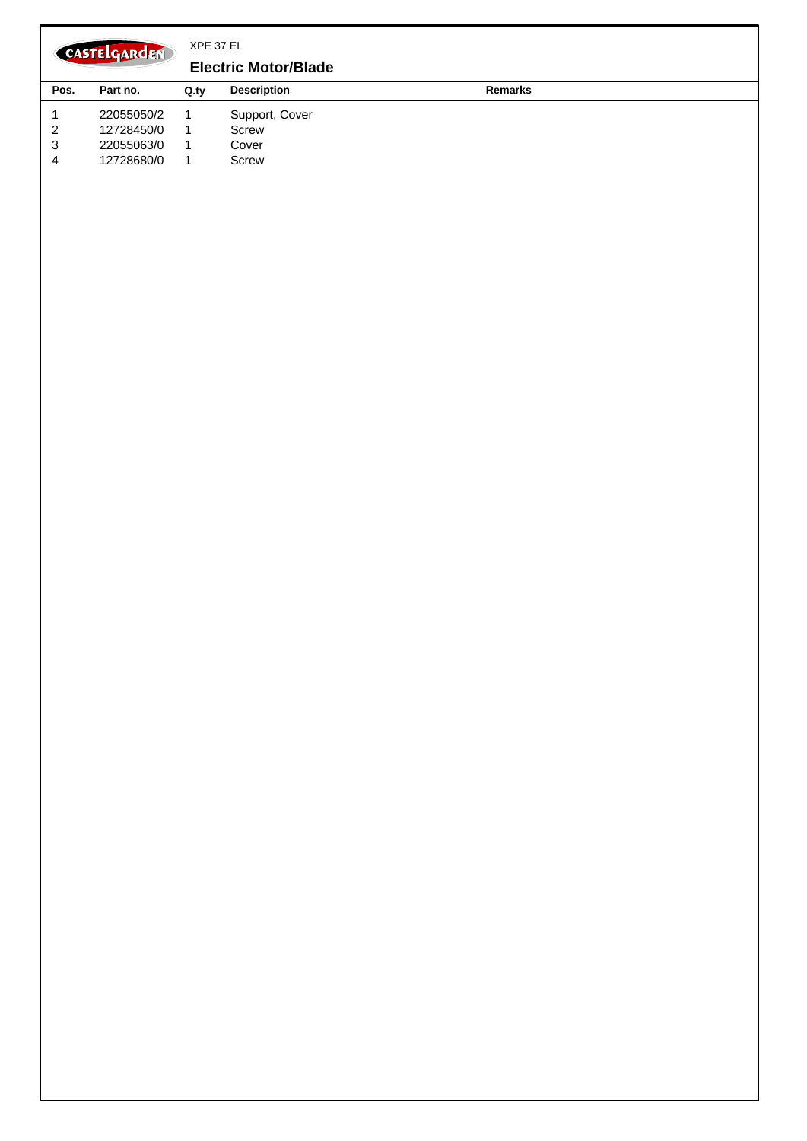XPE 37 EL CASTELGARDEN **Handle, Upper Part Pos. Part no. Description Remarks Q.ty** 1 1 381006940/2 Handle, L Lower 2 381006939/2 1 Handle, R Lower 3 81006941/4 1 Handle, Upper Part 4 2 18566112/0 Cap 5 12819120/0 2 Screw 6 2 22680006/1 Washer 7 22399900/0 2 Knob 8 12293200/0 2 Nut 9 381600503/3 1 Dead Hand Switch 10 12728701/0 4 Screw 11 22192000/1 1 Clamp 12 322322882/1 1 Lever, Engine Brake Red 13 22195101/4 1 Fairlead 14 22010250/0 1 Rod, Fairlead Bearing 15 322230350/1 1 Fulcrum Pin 16 322785144/1 1 Support 17 22450115/0 1 Spring 18 81008669/0 1 Outfit, Screws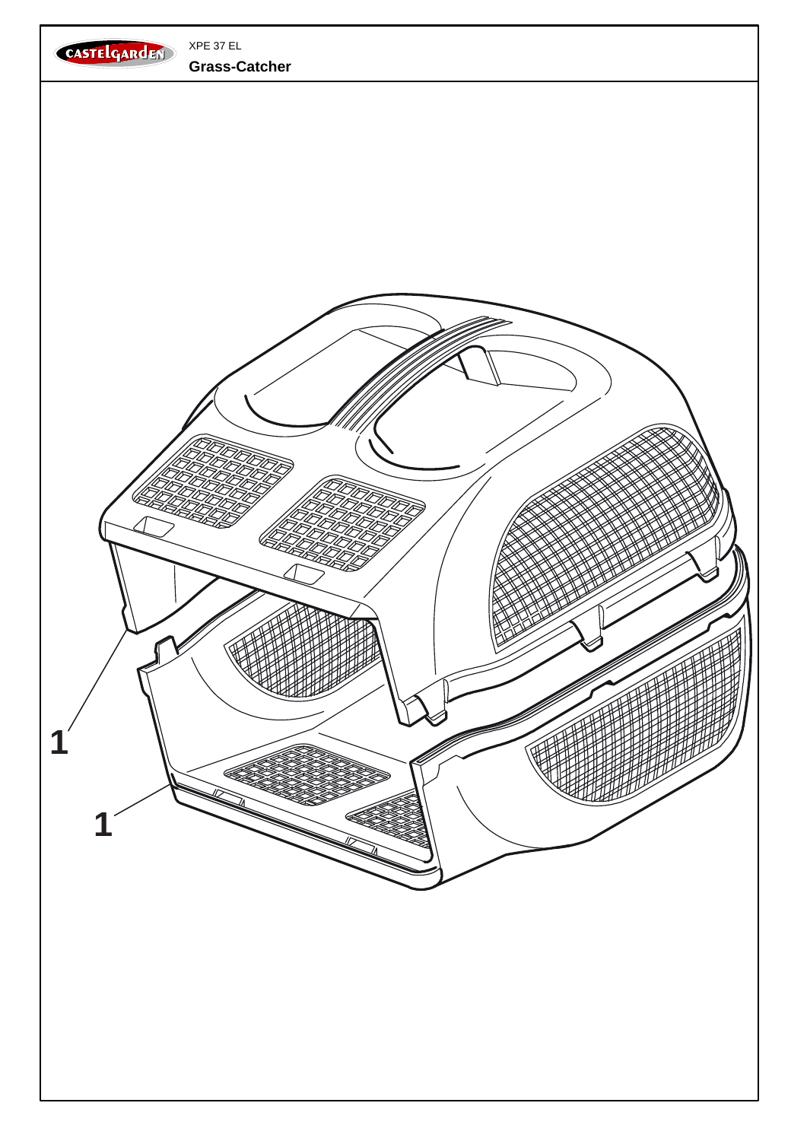